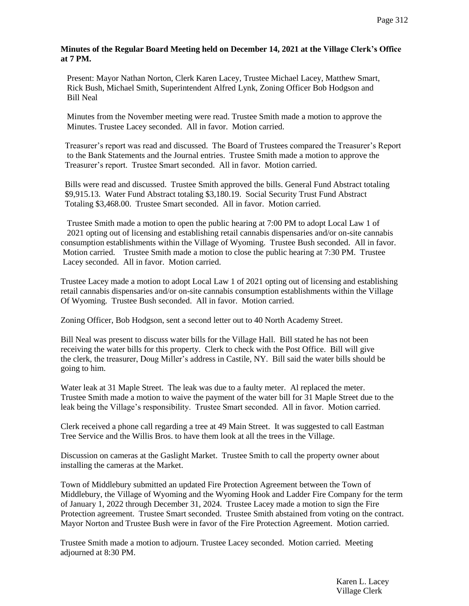## **Minutes of the Regular Board Meeting held on December 14, 2021 at the Village Clerk's Office at 7 PM.**

 Present: Mayor Nathan Norton, Clerk Karen Lacey, Trustee Michael Lacey, Matthew Smart, Rick Bush, Michael Smith, Superintendent Alfred Lynk, Zoning Officer Bob Hodgson and Bill Neal

 Minutes from the November meeting were read. Trustee Smith made a motion to approve the Minutes. Trustee Lacey seconded. All in favor. Motion carried.

 Treasurer's report was read and discussed. The Board of Trustees compared the Treasurer's Report to the Bank Statements and the Journal entries. Trustee Smith made a motion to approve the Treasurer's report. Trustee Smart seconded. All in favor. Motion carried.

 Bills were read and discussed. Trustee Smith approved the bills. General Fund Abstract totaling \$9,915.13. Water Fund Abstract totaling \$3,180.19. Social Security Trust Fund Abstract Totaling \$3,468.00. Trustee Smart seconded. All in favor. Motion carried.

 Trustee Smith made a motion to open the public hearing at 7:00 PM to adopt Local Law 1 of 2021 opting out of licensing and establishing retail cannabis dispensaries and/or on-site cannabis consumption establishments within the Village of Wyoming. Trustee Bush seconded. All in favor. Motion carried. Trustee Smith made a motion to close the public hearing at 7:30 PM. Trustee Lacey seconded. All in favor. Motion carried.

Trustee Lacey made a motion to adopt Local Law 1 of 2021 opting out of licensing and establishing retail cannabis dispensaries and/or on-site cannabis consumption establishments within the Village Of Wyoming. Trustee Bush seconded. All in favor. Motion carried.

Zoning Officer, Bob Hodgson, sent a second letter out to 40 North Academy Street.

Bill Neal was present to discuss water bills for the Village Hall. Bill stated he has not been receiving the water bills for this property. Clerk to check with the Post Office. Bill will give the clerk, the treasurer, Doug Miller's address in Castile, NY. Bill said the water bills should be going to him.

Water leak at 31 Maple Street. The leak was due to a faulty meter. Al replaced the meter. Trustee Smith made a motion to waive the payment of the water bill for 31 Maple Street due to the leak being the Village's responsibility. Trustee Smart seconded. All in favor. Motion carried.

Clerk received a phone call regarding a tree at 49 Main Street. It was suggested to call Eastman Tree Service and the Willis Bros. to have them look at all the trees in the Village.

Discussion on cameras at the Gaslight Market. Trustee Smith to call the property owner about installing the cameras at the Market.

Town of Middlebury submitted an updated Fire Protection Agreement between the Town of Middlebury, the Village of Wyoming and the Wyoming Hook and Ladder Fire Company for the term of January 1, 2022 through December 31, 2024. Trustee Lacey made a motion to sign the Fire Protection agreement. Trustee Smart seconded. Trustee Smith abstained from voting on the contract. Mayor Norton and Trustee Bush were in favor of the Fire Protection Agreement. Motion carried.

 Trustee Smith made a motion to adjourn. Trustee Lacey seconded. Motion carried. Meeting adjourned at 8:30 PM.